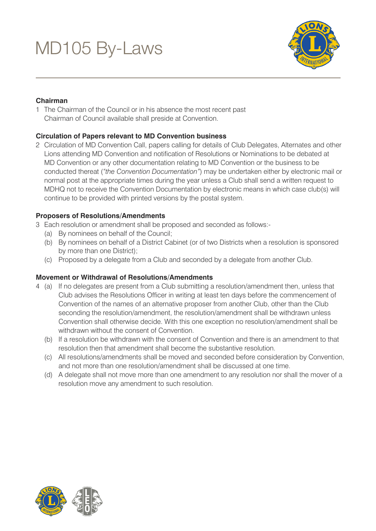

# **Chairman**

1 The Chairman of the Council or in his absence the most recent past Chairman of Council available shall preside at Convention.

# **Circulation of Papers relevant to MD Convention business**

2 Circulation of MD Convention Call, papers calling for details of Club Delegates, Alternates and other Lions attending MD Convention and notification of Resolutions or Nominations to be debated at MD Convention or any other documentation relating to MD Convention or the business to be conducted thereat (*"the Convention Documentation"*) may be undertaken either by electronic mail or normal post at the appropriate times during the year unless a Club shall send a written request to MDHQ not to receive the Convention Documentation by electronic means in which case club(s) will continue to be provided with printed versions by the postal system.

## **Proposers of Resolutions/Amendments**

- 3 Each resolution or amendment shall be proposed and seconded as follows:-
	- (a) By nominees on behalf of the Council;
	- (b) By nominees on behalf of a District Cabinet (or of two Districts when a resolution is sponsored by more than one District);
	- (c) Proposed by a delegate from a Club and seconded by a delegate from another Club.

## **Movement or Withdrawal of Resolutions/Amendments**

- 4 (a) If no delegates are present from a Club submitting a resolution/amendment then, unless that Club advises the Resolutions Officer in writing at least ten days before the commencement of Convention of the names of an alternative proposer from another Club, other than the Club seconding the resolution/amendment, the resolution/amendment shall be withdrawn unless Convention shall otherwise decide. With this one exception no resolution/amendment shall be withdrawn without the consent of Convention.
	- (b) If a resolution be withdrawn with the consent of Convention and there is an amendment to that resolution then that amendment shall become the substantive resolution.
	- (c) All resolutions/amendments shall be moved and seconded before consideration by Convention, and not more than one resolution/amendment shall be discussed at one time.
	- (d) A delegate shall not move more than one amendment to any resolution nor shall the mover of a resolution move any amendment to such resolution.

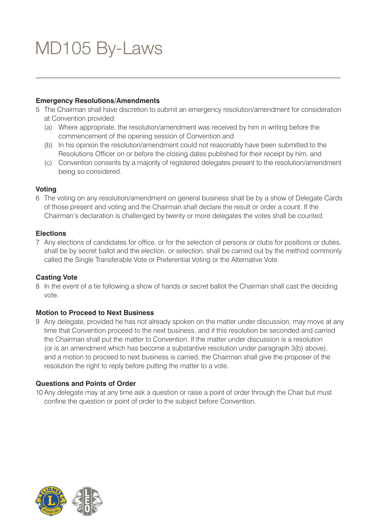### **Emergency Resolutions/Amendments**

- 5 The Chairman shall have discretion to submit an emergency resolution/amendment for consideration at Convention provided:
	- (a) Where appropriate, the resolution/amendment was received by him in writing before the commencement of the opening session of Convention and
	- (b) In his opinion the resolution/amendment could not reasonably have been submitted to the Resolutions Officer on or before the closing dates published for their receipt by him, and
	- (c) Convention consents by a majority of registered delegates present to the resolution/amendment being so considered.

## **Voting**

6 The voting on any resolution/amendment on general business shall be by a show of Delegate Cards of those present and voting and the Chairman shall declare the result or order a count. If the Chairman's declaration is challenged by twenty or more delegates the votes shall be counted.

#### **Elections**

7 Any elections of candidates for office, or for the selection of persons or clubs for positions or duties, shall be by secret ballot and the election, or selection, shall be carried out by the method commonly called the Single Transferable Vote or Preferential Voting or the Alternative Vote.

#### **Casting Vote**

8 In the event of a tie following a show of hands or secret ballot the Chairman shall cast the deciding vote.

## **Motion to Proceed to Next Business**

9 Any delegate, provided he has not already spoken on the matter under discussion, may move at any time that Convention proceed to the next business, and if this resolution be seconded and carried the Chairman shall put the matter to Convention. If the matter under discussion is a resolution (or is an amendment which has become a substantive resolution under paragraph 3(b) above), and a motion to proceed to next business is carried, the Chairman shall give the proposer of the resolution the right to reply before putting the matter to a vote.

## **Questions and Points of Order**

10 Any delegate may at any time ask a question or raise a point of order through the Chair but must confine the question or point of order to the subject before Convention.

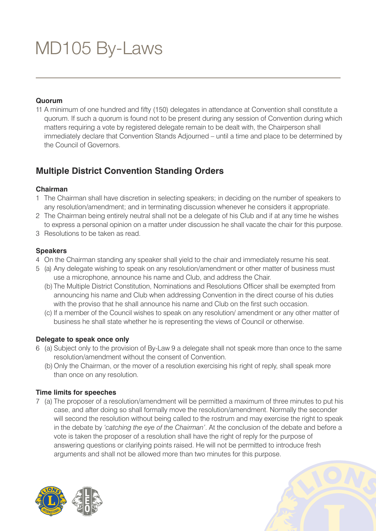### **Quorum**

11 A minimum of one hundred and fifty (150) delegates in attendance at Convention shall constitute a quorum. If such a quorum is found not to be present during any session of Convention during which matters requiring a vote by registered delegate remain to be dealt with, the Chairperson shall immediately declare that Convention Stands Adjourned – until a time and place to be determined by the Council of Governors.

# **Multiple District Convention Standing Orders**

### **Chairman**

- 1 The Chairman shall have discretion in selecting speakers; in deciding on the number of speakers to any resolution/amendment; and in terminating discussion whenever he considers it appropriate.
- 2 The Chairman being entirely neutral shall not be a delegate of his Club and if at any time he wishes
- to express a personal opinion on a matter under discussion he shall vacate the chair for this purpose. 3 Resolutions to be taken as read.
- 

## **Speakers**

- 4 On the Chairman standing any speaker shall yield to the chair and immediately resume his seat.
- 5 (a) Any delegate wishing to speak on any resolution/amendment or other matter of business must use a microphone, announce his name and Club, and address the Chair.
	- (b) The Multiple District Constitution, Nominations and Resolutions Officer shall be exempted from announcing his name and Club when addressing Convention in the direct course of his duties with the proviso that he shall announce his name and Club on the first such occasion.
	- (c) If a member of the Council wishes to speak on any resolution/ amendment or any other matter of business he shall state whether he is representing the views of Council or otherwise.

## **Delegate to speak once only**

- 6 (a) Subject only to the provision of By-Law 9 a delegate shall not speak more than once to the same resolution/amendment without the consent of Convention.
	- (b) Only the Chairman, or the mover of a resolution exercising his right of reply, shall speak more than once on any resolution.

## **Time limits for speeches**

7 (a) The proposer of a resolution/amendment will be permitted a maximum of three minutes to put his case, and after doing so shall formally move the resolution/amendment. Normally the seconder will second the resolution without being called to the rostrum and may exercise the right to speak in the debate by *'catching the eye of the Chairman'*. At the conclusion of the debate and before a vote is taken the proposer of a resolution shall have the right of reply for the purpose of answering questions or clarifying points raised. He will not be permitted to introduce fresh arguments and shall not be allowed more than two minutes for this purpose.